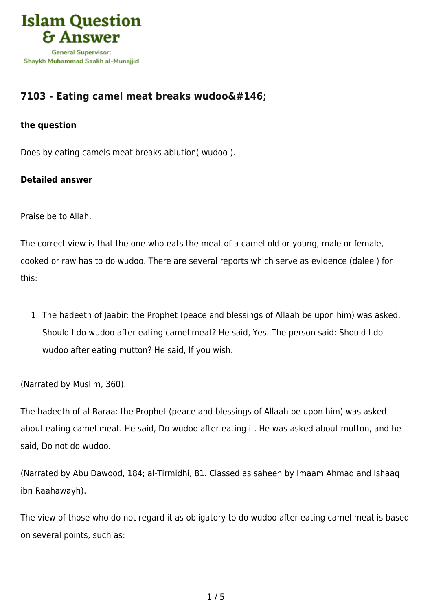

# **[7103 - Eating camel meat breaks wudoo'](https://islamqa.com/en/answers/7103/eating-camel-meat-breaks-wudoo146)**

## **the question**

Does by eating camels meat breaks ablution( wudoo ).

# **Detailed answer**

Praise be to Allah.

The correct view is that the one who eats the meat of a camel old or young, male or female, cooked or raw has to do wudoo. There are several reports which serve as evidence (daleel) for this:

1. The hadeeth of Jaabir: the Prophet (peace and blessings of Allaah be upon him) was asked, Should I do wudoo after eating camel meat? He said, Yes. The person said: Should I do wudoo after eating mutton? He said, If you wish.

(Narrated by Muslim, 360).

The hadeeth of al-Baraa: the Prophet (peace and blessings of Allaah be upon him) was asked about eating camel meat. He said, Do wudoo after eating it. He was asked about mutton, and he said, Do not do wudoo.

(Narrated by Abu Dawood, 184; al-Tirmidhi, 81. Classed as saheeh by Imaam Ahmad and Ishaaq ibn Raahawayh).

The view of those who do not regard it as obligatory to do wudoo after eating camel meat is based on several points, such as: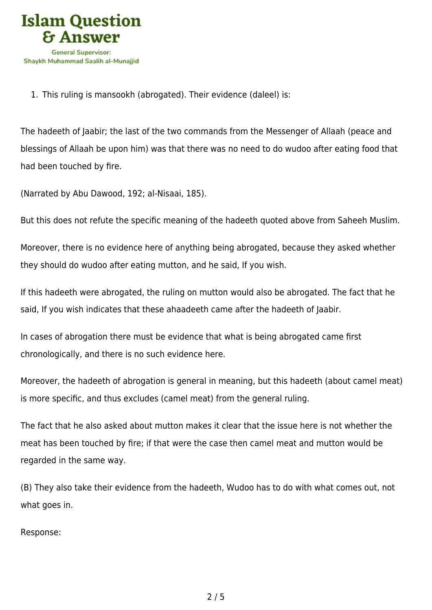

1. This ruling is mansookh (abrogated). Their evidence (daleel) is:

The hadeeth of Jaabir; the last of the two commands from the Messenger of Allaah (peace and blessings of Allaah be upon him) was that there was no need to do wudoo after eating food that had been touched by fire.

(Narrated by Abu Dawood, 192; al-Nisaai, 185).

But this does not refute the specific meaning of the hadeeth quoted above from Saheeh Muslim.

Moreover, there is no evidence here of anything being abrogated, because they asked whether they should do wudoo after eating mutton, and he said, If you wish.

If this hadeeth were abrogated, the ruling on mutton would also be abrogated. The fact that he said, If you wish indicates that these ahaadeeth came after the hadeeth of Jaabir.

In cases of abrogation there must be evidence that what is being abrogated came first chronologically, and there is no such evidence here.

Moreover, the hadeeth of abrogation is general in meaning, but this hadeeth (about camel meat) is more specific, and thus excludes (camel meat) from the general ruling.

The fact that he also asked about mutton makes it clear that the issue here is not whether the meat has been touched by fire; if that were the case then camel meat and mutton would be regarded in the same way.

(B) They also take their evidence from the hadeeth, Wudoo has to do with what comes out, not what goes in.

Response: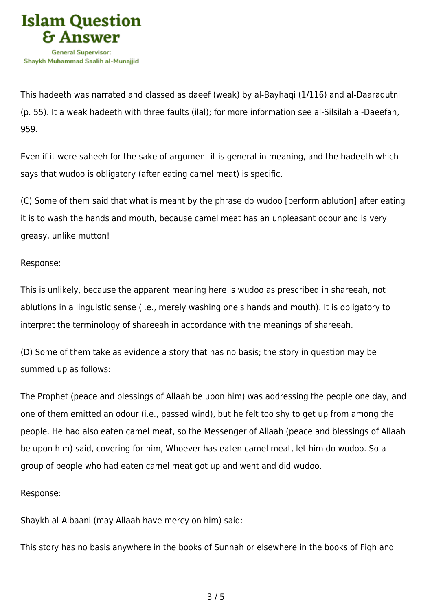

This hadeeth was narrated and classed as daeef (weak) by al-Bayhaqi (1/116) and al-Daaraqutni (p. 55). It a weak hadeeth with three faults (ilal); for more information see al-Silsilah al-Daeefah, 959.

Even if it were saheeh for the sake of argument it is general in meaning, and the hadeeth which says that wudoo is obligatory (after eating camel meat) is specific.

(C) Some of them said that what is meant by the phrase do wudoo [perform ablution] after eating it is to wash the hands and mouth, because camel meat has an unpleasant odour and is very greasy, unlike mutton!

### Response:

This is unlikely, because the apparent meaning here is wudoo as prescribed in shareeah, not ablutions in a linguistic sense (i.e., merely washing one's hands and mouth). It is obligatory to interpret the terminology of shareeah in accordance with the meanings of shareeah.

(D) Some of them take as evidence a story that has no basis; the story in question may be summed up as follows:

The Prophet (peace and blessings of Allaah be upon him) was addressing the people one day, and one of them emitted an odour (i.e., passed wind), but he felt too shy to get up from among the people. He had also eaten camel meat, so the Messenger of Allaah (peace and blessings of Allaah be upon him) said, covering for him, Whoever has eaten camel meat, let him do wudoo. So a group of people who had eaten camel meat got up and went and did wudoo.

#### Response:

Shaykh al-Albaani (may Allaah have mercy on him) said:

This story has no basis anywhere in the books of Sunnah or elsewhere in the books of Fiqh and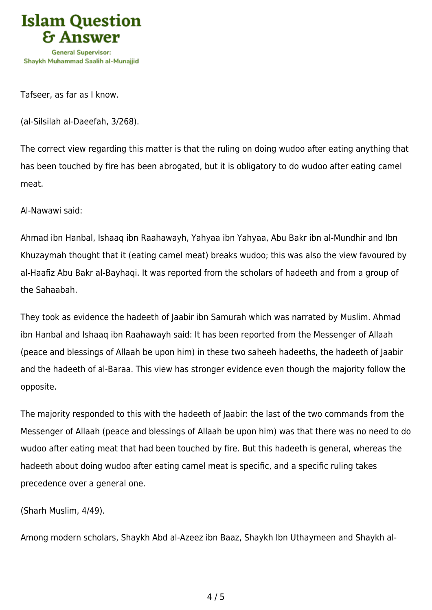

Tafseer, as far as I know.

(al-Silsilah al-Daeefah, 3/268).

The correct view regarding this matter is that the ruling on doing wudoo after eating anything that has been touched by fire has been abrogated, but it is obligatory to do wudoo after eating camel meat.

Al-Nawawi said:

Ahmad ibn Hanbal, Ishaaq ibn Raahawayh, Yahyaa ibn Yahyaa, Abu Bakr ibn al-Mundhir and Ibn Khuzaymah thought that it (eating camel meat) breaks wudoo; this was also the view favoured by al-Haafiz Abu Bakr al-Bayhaqi. It was reported from the scholars of hadeeth and from a group of the Sahaabah.

They took as evidence the hadeeth of Jaabir ibn Samurah which was narrated by Muslim. Ahmad ibn Hanbal and Ishaaq ibn Raahawayh said: It has been reported from the Messenger of Allaah (peace and blessings of Allaah be upon him) in these two saheeh hadeeths, the hadeeth of Jaabir and the hadeeth of al-Baraa. This view has stronger evidence even though the majority follow the opposite.

The majority responded to this with the hadeeth of Jaabir: the last of the two commands from the Messenger of Allaah (peace and blessings of Allaah be upon him) was that there was no need to do wudoo after eating meat that had been touched by fire. But this hadeeth is general, whereas the hadeeth about doing wudoo after eating camel meat is specific, and a specific ruling takes precedence over a general one.

(Sharh Muslim, 4/49).

Among modern scholars, Shaykh Abd al-Azeez ibn Baaz, Shaykh Ibn Uthaymeen and Shaykh al-